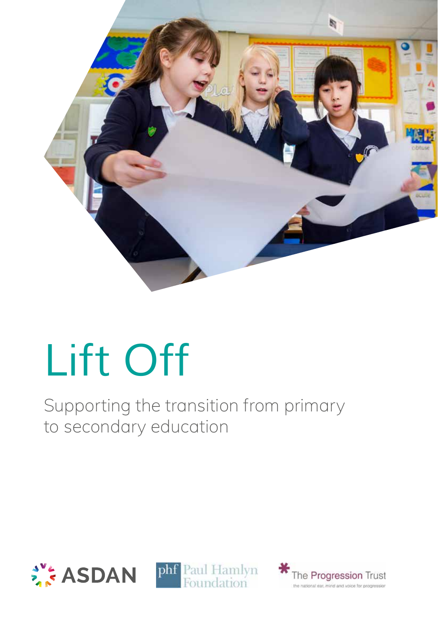

# *Lift Off*

Supporting the transition from primary to secondary education





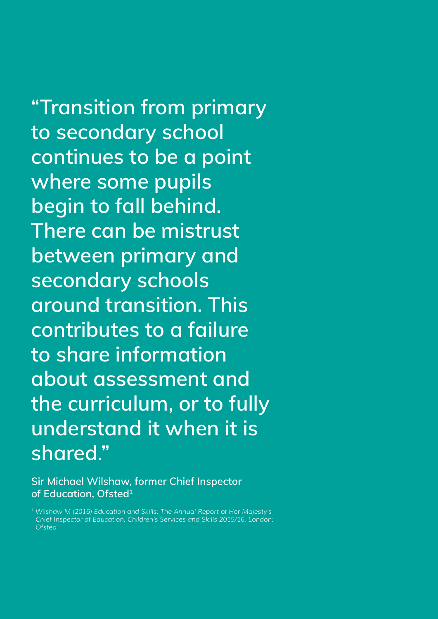**"Transition from primary to secondary school continues to be a point where some pupils begin to fall behind. There can be mistrust between primary and secondary schools around transition. This contributes to a failure to share information about assessment and the curriculum, or to fully understand it when it is shared."**

**Sir Michael Wilshaw, former Chief Inspector of Education, Ofsted1**

*1 Wilshaw M (2016) Education and Skills: The Annual Report of Her Majesty's Chief Inspector of Education, Children's Services and Skills 2015/16, London: Ofsted*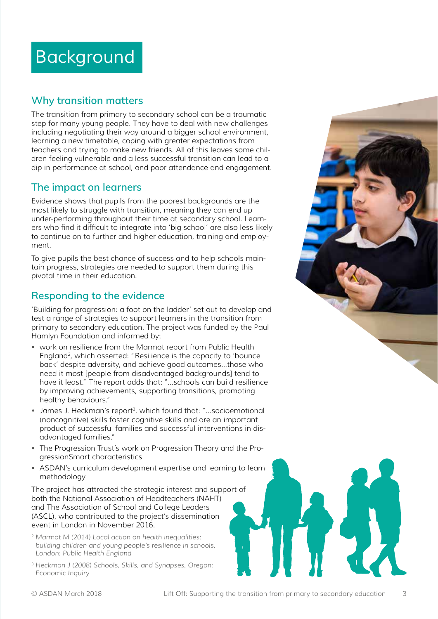### *Background*

### **Why transition matters**

The transition from primary to secondary school can be a traumatic step for many young people. They have to deal with new challenges including negotiating their way around a bigger school environment, learning a new timetable, coping with greater expectations from teachers and trying to make new friends. All of this leaves some children feeling vulnerable and a less successful transition can lead to a dip in performance at school, and poor attendance and engagement.

### **The impact on learners**

Evidence shows that pupils from the poorest backgrounds are the most likely to struggle with transition, meaning they can end up under-performing throughout their time at secondary school. Learners who find it difficult to integrate into 'big school' are also less likely to continue on to further and higher education, training and employment.

To give pupils the best chance of success and to help schools maintain progress, strategies are needed to support them during this pivotal time in their education.

### **Responding to the evidence**

'Building for progression: a foot on the ladder' set out to develop and test a range of strategies to support learners in the transition from primary to secondary education. The project was funded by the Paul Hamlyn Foundation and informed by:

- work on resilience from the Marmot report from Public Health England<sup>2</sup>, which asserted: "Resilience is the capacity to 'bounce back' despite adversity, and achieve good outcomes...those who need it most [people from disadvantaged backgrounds] tend to have it least." The report adds that: "...schools can build resilience by improving achievements, supporting transitions, promoting healthy behaviours."
- James J. Heckman's report<sup>3</sup>, which found that: "...socioemotional (noncognitive) skills foster cognitive skills and are an important product of successful families and successful interventions in disadvantaged families."
- The Progression Trust's work on Progression Theory and the ProgressionSmart characteristics
- ASDAN's curriculum development expertise and learning to learn methodology

The project has attracted the strategic interest and support of both the National Association of Headteachers (NAHT) and The Association of School and College Leaders (ASCL), who contributed to the project's dissemination event in London in November 2016.

- *2 Marmot M (2014) Local action on health inequalities: building children and young people's resilience in schools, London: Public Health England*
- *3 Heckman J (2008) Schools, Skills, and Synapses, Oregon: Economic Inquiry*

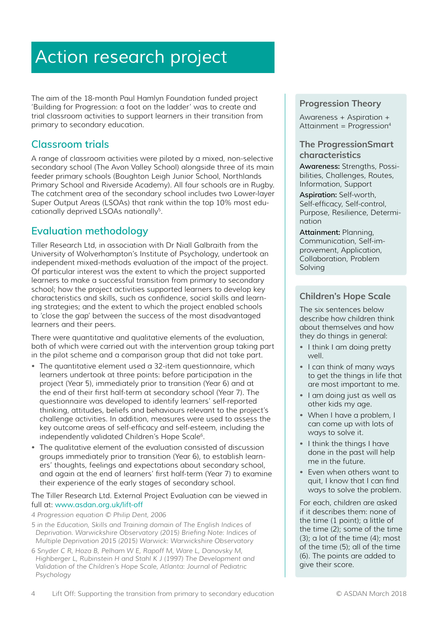### *Action research project*

The aim of the 18-month Paul Hamlyn Foundation funded project 'Building for Progression: a foot on the ladder' was to create and trial classroom activities to support learners in their transition from primary to secondary education.

### **Classroom trials**

A range of classroom activities were piloted by a mixed, non-selective secondary school (The Avon Valley School) alongside three of its main feeder primary schools (Boughton Leigh Junior School, Northlands Primary School and Riverside Academy). All four schools are in Rugby. The catchment area of the secondary school includes two Lower-layer Super Output Areas (LSOAs) that rank within the top 10% most educationally deprived LSOAs nationally<sup>5</sup>.

### **Evaluation methodology**

Tiller Research Ltd, in association with Dr Niall Galbraith from the University of Wolverhampton's Institute of Psychology, undertook an independent mixed-methods evaluation of the impact of the project. Of particular interest was the extent to which the project supported learners to make a successful transition from primary to secondary school; how the project activities supported learners to develop key characteristics and skills, such as confidence, social skills and learning strategies; and the extent to which the project enabled schools to 'close the gap' between the success of the most disadvantaged learners and their peers.

There were quantitative and qualitative elements of the evaluation, both of which were carried out with the intervention group taking part in the pilot scheme and a comparison group that did not take part.

- The quantitative element used a 32-item questionnaire, which learners undertook at three points: before participation in the project (Year 5), immediately prior to transition (Year 6) and at the end of their first half-term at secondary school (Year 7). The questionnaire was developed to identify learners' self-reported thinking, attitudes, beliefs and behaviours relevant to the project's challenge activities. In addition, measures were used to assess the key outcome areas of self-efficacy and self-esteem, including the independently validated Children's Hope Scale<sup>6</sup>.
- The qualitative element of the evaluation consisted of discussion groups immediately prior to transition (Year 6), to establish learners' thoughts, feelings and expectations about secondary school, and again at the end of learners' first half-term (Year 7) to examine their experience of the early stages of secondary school.

#### The Tiller Research Ltd. External Project Evaluation can be viewed in full at: *www.asdan.org.uk/lift-off*

*4 Progression equation © Philip Dent, 2006*

- *5 in the Education, Skills and Training domain of The English Indices of Deprivation. Warwickshire Observatory (2015) Briefing Note: Indices of Multiple Deprivation 2015 (2015) Warwick: Warwickshire Observatory*
- *6 Snyder C R, Hoza B, Pelham W E, Rapoff M, Ware L, Danovsky M, Highberger L, Rubinstein H and Stahl K J (1997) The Development and Validation of the Children's Hope Scale, Atlanta: Journal of Pediatric Psychology*

### **Progression Theory**

Awareness + Aspiration + Attainment =  $Proaresion<sup>4</sup>$ 

### **The ProgressionSmart characteristics**

**Awareness:** Strengths, Possibilities, Challenges, Routes, Information, Support

**Aspiration:** Self-worth, Self-efficacy, Self-control, Purpose, Resilience, Determination

**Attainment:** Planning, Communication, Self-improvement, Application, Collaboration, Problem Solving

### **Children's Hope Scale**

The six sentences below describe how children think about themselves and how they do things in general:

- I think I am doing pretty well.
- I can think of many ways to get the things in life that are most important to me.
- I am doing just as well as other kids my age.
- When I have a problem, I can come up with lots of ways to solve it.
- I think the things I have done in the past will help me in the future.
- Even when others want to quit, I know that I can find ways to solve the problem.

For each, children are asked if it describes them: none of the time (1 point); a little of the time (2); some of the time (3); a lot of the time (4); most of the time (5); all of the time (6). The points are added to give their score.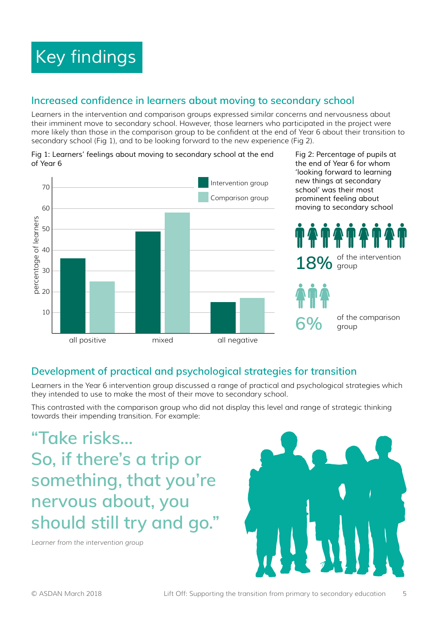## *Key findings*

### **Increased confidence in learners about moving to secondary school**

Learners in the intervention and comparison groups expressed similar concerns and nervousness about their imminent move to secondary school. However, those learners who participated in the project were more likely than those in the comparison group to be confident at the end of Year 6 about their transition to secondary school (Fig 1), and to be looking forward to the new experience (Fig 2).



*Fig 1: Learners' feelings about moving to secondary school at the end of Year 6*

### **Development of practical and psychological strategies for transition**

Learners in the Year 6 intervention group discussed a range of practical and psychological strategies which they intended to use to make the most of their move to secondary school.

This contrasted with the comparison group who did not display this level and range of strategic thinking towards their impending transition. For example:

**"Take risks… So, if there's a trip or something, that you're nervous about, you should still try and go."** 

*Learner from the intervention group*



*Fig 2: Percentage of pupils at the end of Year 6 for whom* 

group

group

of the comparison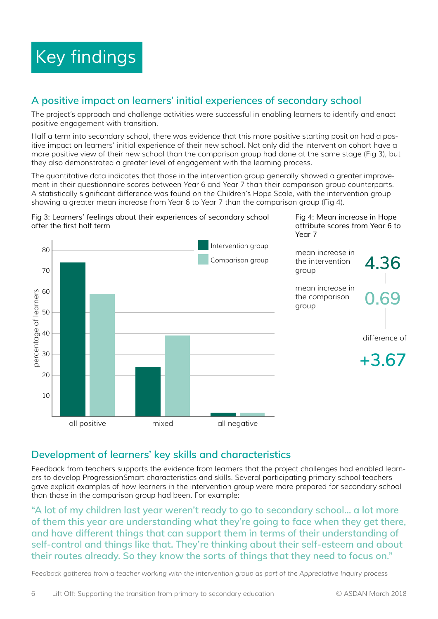### **A positive impact on learners' initial experiences of secondary school**

The project's approach and challenge activities were successful in enabling learners to identify and enact positive engagement with transition.

Half a term into secondary school, there was evidence that this more positive starting position had a positive impact on learners' initial experience of their new school. Not only did the intervention cohort have a more positive view of their new school than the comparison group had done at the same stage (Fig 3), but they also demonstrated a greater level of engagement with the learning process.

The quantitative data indicates that those in the intervention group generally showed a greater improvement in their questionnaire scores between Year 6 and Year 7 than their comparison group counterparts. A statistically significant difference was found on the Children's Hope Scale, with the intervention group showing a greater mean increase from Year 6 to Year 7 than the comparison group (Fig 4).

#### *Fig 3: Learners' feelings about their experiences of secondary school*  after the first half term



### **Development of learners' key skills and characteristics**

Feedback from teachers supports the evidence from learners that the project challenges had enabled learners to develop ProgressionSmart characteristics and skills. Several participating primary school teachers gave explicit examples of how learners in the intervention group were more prepared for secondary school than those in the comparison group had been. For example:

**"A lot of my children last year weren't ready to go to secondary school… a lot more of them this year are understanding what they're going to face when they get there, and have different things that can support them in terms of their understanding of self-control and things like that. They're thinking about their self-esteem and about their routes already. So they know the sorts of things that they need to focus on."**

*Feedback gathered from a teacher working with the intervention group as part of the Appreciative Inquiry process*

*Fig 4: Mean increase in Hope attribute scores from Year 6 to*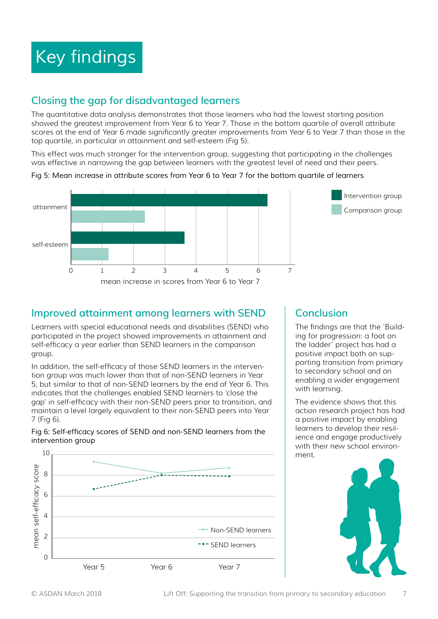### *Key findings*

### **Closing the gap for disadvantaged learners**

The quantitative data analysis demonstrates that those learners who had the lowest starting position showed the greatest improvement from Year 6 to Year 7. Those in the bottom quartile of overall attribute scores at the end of Year 6 made significantly greater improvements from Year 6 to Year 7 than those in the top quartile, in particular in attainment and self-esteem (Fig 5).

This effect was much stronger for the intervention group, suggesting that participating in the challenges was effective in narrowing the gap between learners with the greatest level of need and their peers.

#### *Fig 5: Mean increase in attribute scores from Year 6 to Year 7 for the bottom quartile of learners*



### **Improved attainment among learners with SEND**

Learners with special educational needs and disabilities (SEND) who participated in the project showed improvements in attainment and self-efficacy a year earlier than SEND learners in the comparison group.

In addition, the self-efficacy of those SEND learners in the intervention group was much lower than that of non-SEND learners in Year 5, but similar to that of non-SEND learners by the end of Year 6. This indicates that the challenges enabled SEND learners to 'close the gap' in self-efficacy with their non-SEND peers prior to transition, and maintain a level largely equivalent to their non-SEND peers into Year 7 (Fig 6).





### **Conclusion**

The findings are that the 'Building for progression: a foot on the ladder' project has had a positive impact both on supporting transition from primary to secondary school and on enabling a wider engagement with learning.

The evidence shows that this action research project has had a positive impact by enabling learners to develop their resilience and engage productively with their new school environment.